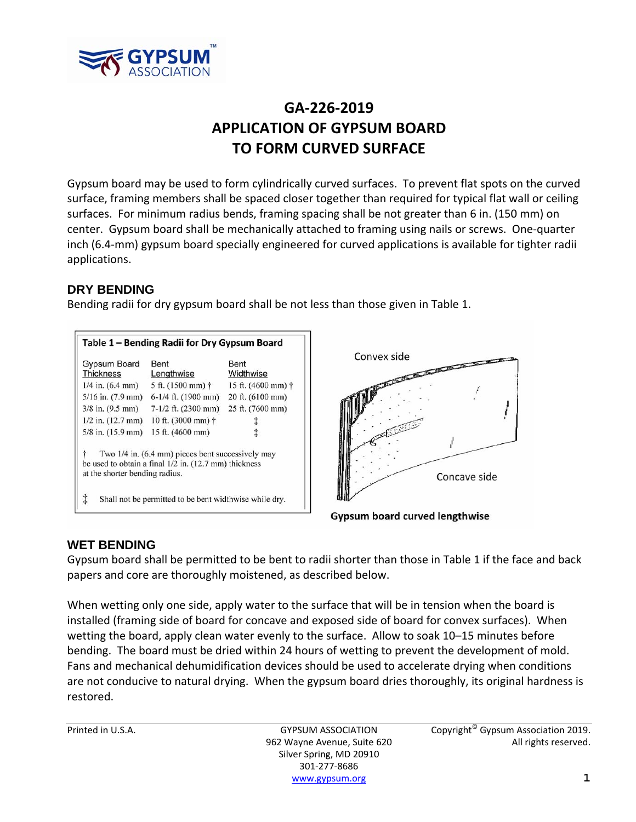

# **GA‐226‐2019 APPLICATION OF GYPSUM BOARD TO FORM CURVED SURFACE**

Gypsum board may be used to form cylindrically curved surfaces. To prevent flat spots on the curved surface, framing members shall be spaced closer together than required for typical flat wall or ceiling surfaces. For minimum radius bends, framing spacing shall be not greater than 6 in. (150 mm) on center. Gypsum board shall be mechanically attached to framing using nails or screws. One‐quarter inch (6.4‐mm) gypsum board specially engineered for curved applications is available for tighter radii applications.

# **DRY BENDING**

Bending radii for dry gypsum board shall be not less than those given in Table 1.

| Table 1 – Bending Radii for Dry Gypsum Board |                                                                                                            |                              |
|----------------------------------------------|------------------------------------------------------------------------------------------------------------|------------------------------|
| Gypsum Board<br><b>Thickness</b>             | Bent<br>Lengthwise                                                                                         | Bent<br>Widthwise            |
| $1/4$ in. $(6.4$ mm)                         | 5 ft. $(1500 \text{ mm})$ †                                                                                | 15 ft. $(4600 \text{ mm})$ † |
| $5/16$ in. $(7.9$ mm)                        | $6-1/4$ ft. (1900 mm)                                                                                      | 20 ft. (6100 mm)             |
| $3/8$ in. $(9.5$ mm)                         | $7-1/2$ ft. (2300 mm)                                                                                      | 25 ft. (7600 mm)             |
| $1/2$ in. $(12.7$ mm)                        | 10 ft. (3000 mm) †                                                                                         |                              |
| $5/8$ in. $(15.9$ mm)                        | 15 ft. (4600 mm)                                                                                           | İ                            |
| ÷<br>at the shorter bending radius.          | Two 1/4 in. (6.4 mm) pieces bent successively may<br>be used to obtain a final 1/2 in. (12.7 mm) thickness |                              |
| ţ                                            | Shall not be permitted to be bent widthwise while dry.                                                     |                              |



**Gypsum board curved lengthwise** 

#### **WET BENDING**

Gypsum board shall be permitted to be bent to radii shorter than those in Table 1 if the face and back papers and core are thoroughly moistened, as described below.

When wetting only one side, apply water to the surface that will be in tension when the board is installed (framing side of board for concave and exposed side of board for convex surfaces). When wetting the board, apply clean water evenly to the surface. Allow to soak 10–15 minutes before bending. The board must be dried within 24 hours of wetting to prevent the development of mold. Fans and mechanical dehumidification devices should be used to accelerate drying when conditions are not conducive to natural drying. When the gypsum board dries thoroughly, its original hardness is restored.

Silver Spring, MD 20910 301‐277‐8686 www.gypsum.org **1**